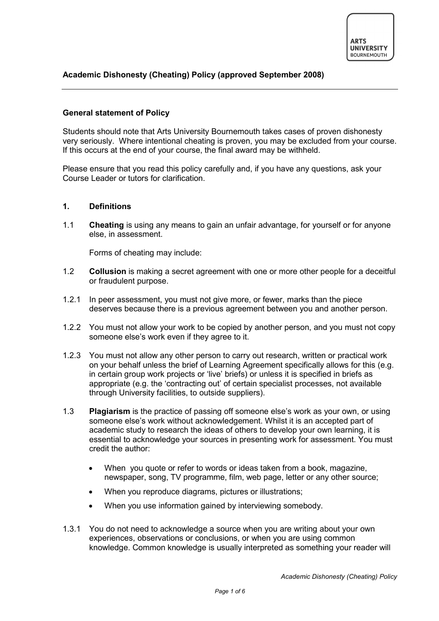# **Academic Dishonesty (Cheating) Policy (approved September 2008)**

# **General statement of Policy**

Students should note that Arts University Bournemouth takes cases of proven dishonesty very seriously. Where intentional cheating is proven, you may be excluded from your course. If this occurs at the end of your course, the final award may be withheld.

Please ensure that you read this policy carefully and, if you have any questions, ask your Course Leader or tutors for clarification.

### **1. Definitions**

1.1 **Cheating** is using any means to gain an unfair advantage, for yourself or for anyone else, in assessment.

Forms of cheating may include:

- 1.2 **Collusion** is making a secret agreement with one or more other people for a deceitful or fraudulent purpose.
- 1.2.1 In peer assessment, you must not give more, or fewer, marks than the piece deserves because there is a previous agreement between you and another person.
- 1.2.2 You must not allow your work to be copied by another person, and you must not copy someone else's work even if they agree to it.
- 1.2.3 You must not allow any other person to carry out research, written or practical work on your behalf unless the brief of Learning Agreement specifically allows for this (e.g. in certain group work projects or 'live' briefs) or unless it is specified in briefs as appropriate (e.g. the 'contracting out' of certain specialist processes, not available through University facilities, to outside suppliers).
- 1.3 **Plagiarism** is the practice of passing off someone else's work as your own, or using someone else's work without acknowledgement. Whilst it is an accepted part of academic study to research the ideas of others to develop your own learning, it is essential to acknowledge your sources in presenting work for assessment. You must credit the author:
	- When you quote or refer to words or ideas taken from a book, magazine, newspaper, song, TV programme, film, web page, letter or any other source;
	- When you reproduce diagrams, pictures or illustrations;
	- When you use information gained by interviewing somebody.
- 1.3.1 You do not need to acknowledge a source when you are writing about your own experiences, observations or conclusions, or when you are using common knowledge. Common knowledge is usually interpreted as something your reader will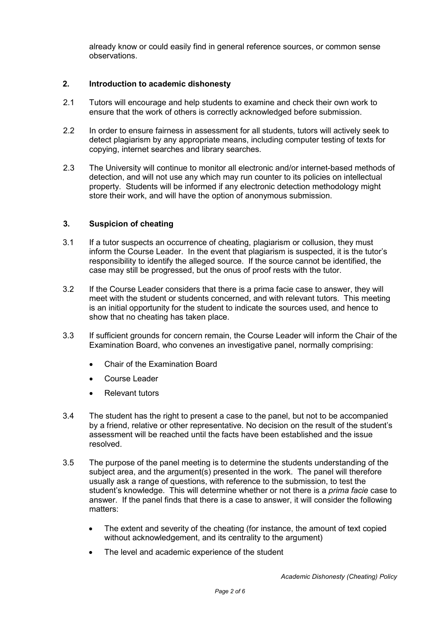already know or could easily find in general reference sources, or common sense observations.

#### **2. Introduction to academic dishonesty**

- 2.1 Tutors will encourage and help students to examine and check their own work to ensure that the work of others is correctly acknowledged before submission.
- 2.2 In order to ensure fairness in assessment for all students, tutors will actively seek to detect plagiarism by any appropriate means, including computer testing of texts for copying, internet searches and library searches.
- 2.3 The University will continue to monitor all electronic and/or internet-based methods of detection, and will not use any which may run counter to its policies on intellectual property. Students will be informed if any electronic detection methodology might store their work, and will have the option of anonymous submission.

#### **3. Suspicion of cheating**

- 3.1 If a tutor suspects an occurrence of cheating, plagiarism or collusion, they must inform the Course Leader. In the event that plagiarism is suspected, it is the tutor's responsibility to identify the alleged source. If the source cannot be identified, the case may still be progressed, but the onus of proof rests with the tutor.
- 3.2 If the Course Leader considers that there is a prima facie case to answer, they will meet with the student or students concerned, and with relevant tutors. This meeting is an initial opportunity for the student to indicate the sources used, and hence to show that no cheating has taken place.
- 3.3 If sufficient grounds for concern remain, the Course Leader will inform the Chair of the Examination Board, who convenes an investigative panel, normally comprising:
	- Chair of the Examination Board
	- Course Leader
	- Relevant tutors
- 3.4 The student has the right to present a case to the panel, but not to be accompanied by a friend, relative or other representative. No decision on the result of the student's assessment will be reached until the facts have been established and the issue resolved.
- 3.5 The purpose of the panel meeting is to determine the students understanding of the subject area, and the argument(s) presented in the work. The panel will therefore usually ask a range of questions, with reference to the submission, to test the student's knowledge. This will determine whether or not there is a *prima facie* case to answer. If the panel finds that there is a case to answer, it will consider the following matters:
	- The extent and severity of the cheating (for instance, the amount of text copied without acknowledgement, and its centrality to the argument)
	- The level and academic experience of the student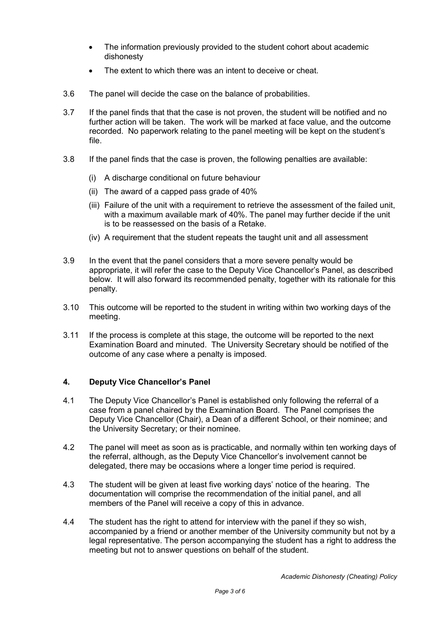- The information previously provided to the student cohort about academic dishonesty
- The extent to which there was an intent to deceive or cheat.
- 3.6 The panel will decide the case on the balance of probabilities.
- 3.7 If the panel finds that that the case is not proven, the student will be notified and no further action will be taken. The work will be marked at face value, and the outcome recorded. No paperwork relating to the panel meeting will be kept on the student's file.
- 3.8 If the panel finds that the case is proven, the following penalties are available:
	- (i) A discharge conditional on future behaviour
	- (ii) The award of a capped pass grade of 40%
	- (iii) Failure of the unit with a requirement to retrieve the assessment of the failed unit, with a maximum available mark of 40%. The panel may further decide if the unit is to be reassessed on the basis of a Retake.
	- (iv) A requirement that the student repeats the taught unit and all assessment
- 3.9 In the event that the panel considers that a more severe penalty would be appropriate, it will refer the case to the Deputy Vice Chancellor's Panel, as described below. It will also forward its recommended penalty, together with its rationale for this penalty.
- 3.10 This outcome will be reported to the student in writing within two working days of the meeting.
- 3.11 If the process is complete at this stage, the outcome will be reported to the next Examination Board and minuted. The University Secretary should be notified of the outcome of any case where a penalty is imposed.

### **4. Deputy Vice Chancellor's Panel**

- 4.1 The Deputy Vice Chancellor's Panel is established only following the referral of a case from a panel chaired by the Examination Board. The Panel comprises the Deputy Vice Chancellor (Chair), a Dean of a different School, or their nominee; and the University Secretary; or their nominee.
- 4.2 The panel will meet as soon as is practicable, and normally within ten working days of the referral, although, as the Deputy Vice Chancellor's involvement cannot be delegated, there may be occasions where a longer time period is required.
- 4.3 The student will be given at least five working days' notice of the hearing. The documentation will comprise the recommendation of the initial panel, and all members of the Panel will receive a copy of this in advance.
- 4.4 The student has the right to attend for interview with the panel if they so wish, accompanied by a friend or another member of the University community but not by a legal representative. The person accompanying the student has a right to address the meeting but not to answer questions on behalf of the student.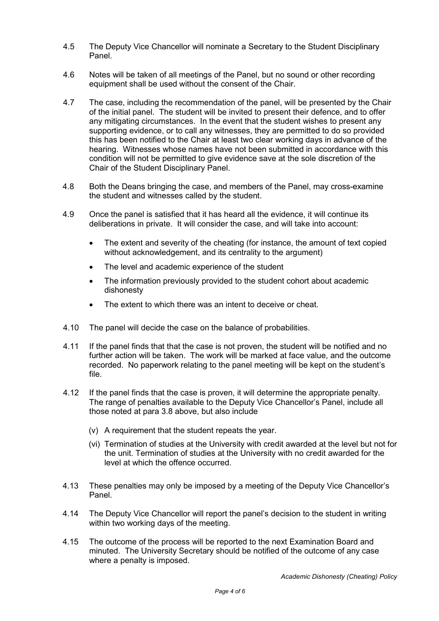- 4.5 The Deputy Vice Chancellor will nominate a Secretary to the Student Disciplinary Panel.
- 4.6 Notes will be taken of all meetings of the Panel, but no sound or other recording equipment shall be used without the consent of the Chair.
- 4.7 The case, including the recommendation of the panel, will be presented by the Chair of the initial panel. The student will be invited to present their defence, and to offer any mitigating circumstances. In the event that the student wishes to present any supporting evidence, or to call any witnesses, they are permitted to do so provided this has been notified to the Chair at least two clear working days in advance of the hearing. Witnesses whose names have not been submitted in accordance with this condition will not be permitted to give evidence save at the sole discretion of the Chair of the Student Disciplinary Panel.
- 4.8 Both the Deans bringing the case, and members of the Panel, may cross-examine the student and witnesses called by the student.
- 4.9 Once the panel is satisfied that it has heard all the evidence, it will continue its deliberations in private. It will consider the case, and will take into account:
	- The extent and severity of the cheating (for instance, the amount of text copied without acknowledgement, and its centrality to the argument)
	- The level and academic experience of the student
	- The information previously provided to the student cohort about academic dishonesty
	- The extent to which there was an intent to deceive or cheat.
- 4.10 The panel will decide the case on the balance of probabilities.
- 4.11 If the panel finds that that the case is not proven, the student will be notified and no further action will be taken. The work will be marked at face value, and the outcome recorded. No paperwork relating to the panel meeting will be kept on the student's file.
- 4.12 If the panel finds that the case is proven, it will determine the appropriate penalty. The range of penalties available to the Deputy Vice Chancellor's Panel, include all those noted at para 3.8 above, but also include
	- (v) A requirement that the student repeats the year.
	- (vi) Termination of studies at the University with credit awarded at the level but not for the unit. Termination of studies at the University with no credit awarded for the level at which the offence occurred.
- 4.13 These penalties may only be imposed by a meeting of the Deputy Vice Chancellor's Panel.
- 4.14 The Deputy Vice Chancellor will report the panel's decision to the student in writing within two working days of the meeting.
- 4.15 The outcome of the process will be reported to the next Examination Board and minuted. The University Secretary should be notified of the outcome of any case where a penalty is imposed.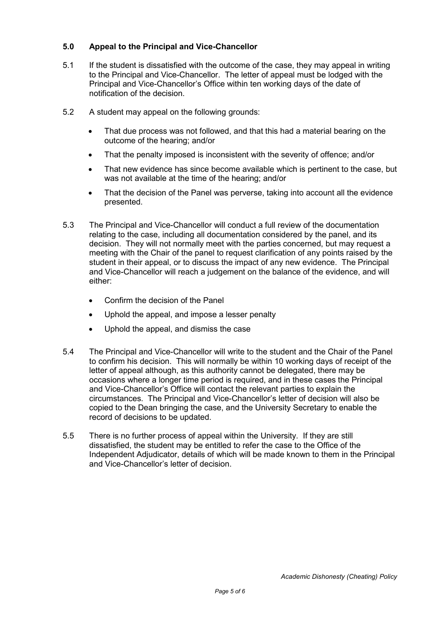# **5.0 Appeal to the Principal and Vice-Chancellor**

- 5.1 If the student is dissatisfied with the outcome of the case, they may appeal in writing to the Principal and Vice-Chancellor. The letter of appeal must be lodged with the Principal and Vice-Chancellor's Office within ten working days of the date of notification of the decision.
- 5.2 A student may appeal on the following grounds:
	- That due process was not followed, and that this had a material bearing on the outcome of the hearing; and/or
	- That the penalty imposed is inconsistent with the severity of offence; and/or
	- That new evidence has since become available which is pertinent to the case, but was not available at the time of the hearing; and/or
	- That the decision of the Panel was perverse, taking into account all the evidence presented.
- 5.3 The Principal and Vice-Chancellor will conduct a full review of the documentation relating to the case, including all documentation considered by the panel, and its decision. They will not normally meet with the parties concerned, but may request a meeting with the Chair of the panel to request clarification of any points raised by the student in their appeal, or to discuss the impact of any new evidence. The Principal and Vice-Chancellor will reach a judgement on the balance of the evidence, and will either:
	- Confirm the decision of the Panel
	- Uphold the appeal, and impose a lesser penalty
	- Uphold the appeal, and dismiss the case
- 5.4 The Principal and Vice-Chancellor will write to the student and the Chair of the Panel to confirm his decision. This will normally be within 10 working days of receipt of the letter of appeal although, as this authority cannot be delegated, there may be occasions where a longer time period is required, and in these cases the Principal and Vice-Chancellor's Office will contact the relevant parties to explain the circumstances. The Principal and Vice-Chancellor's letter of decision will also be copied to the Dean bringing the case, and the University Secretary to enable the record of decisions to be updated.
- 5.5 There is no further process of appeal within the University. If they are still dissatisfied, the student may be entitled to refer the case to the Office of the Independent Adjudicator, details of which will be made known to them in the Principal and Vice-Chancellor's letter of decision.